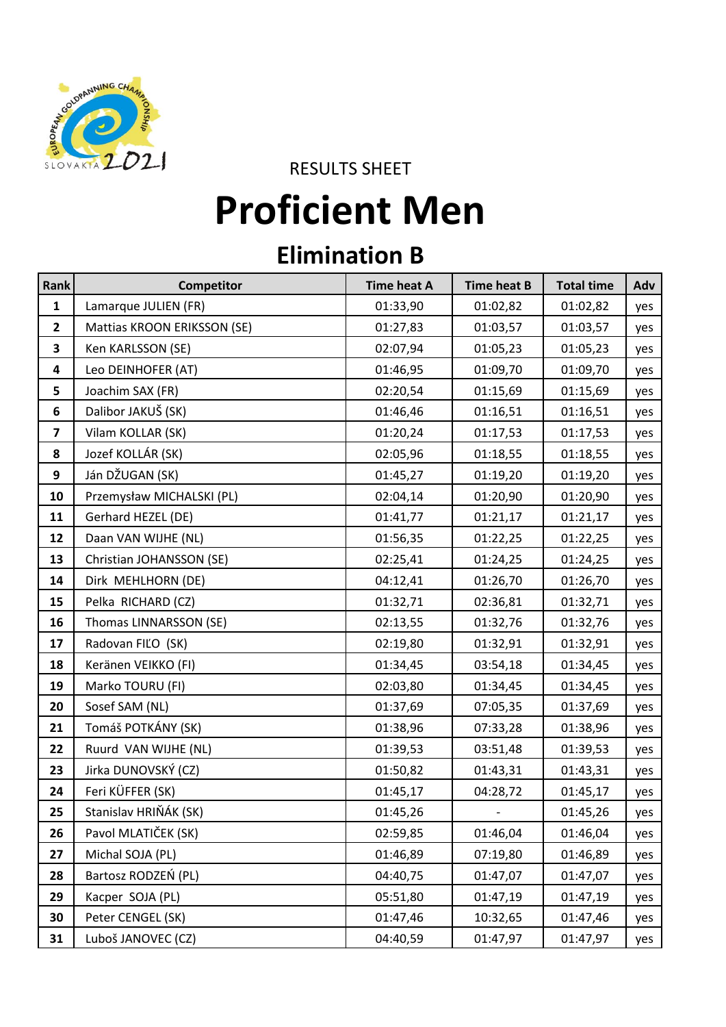

RESULTS SHEET

## **Proficient Men**

## **Elimination B**

| Rank                    | Competitor                  | <b>Time heat A</b> | <b>Time heat B</b> | <b>Total time</b> | Adv |
|-------------------------|-----------------------------|--------------------|--------------------|-------------------|-----|
| 1                       | Lamarque JULIEN (FR)        | 01:33,90           | 01:02,82           | 01:02,82          | yes |
| $\overline{2}$          | Mattias KROON ERIKSSON (SE) | 01:27,83           | 01:03,57           | 01:03,57          | yes |
| $\overline{\mathbf{3}}$ | Ken KARLSSON (SE)           | 02:07,94           | 01:05,23           | 01:05,23          | yes |
| 4                       | Leo DEINHOFER (AT)          | 01:46,95           | 01:09,70           | 01:09,70          | yes |
| 5                       | Joachim SAX (FR)            | 02:20,54           | 01:15,69           | 01:15,69          | yes |
| $\boldsymbol{6}$        | Dalibor JAKUŠ (SK)          | 01:46,46           | 01:16,51           | 01:16,51          | yes |
| $\overline{\mathbf{z}}$ | Vilam KOLLAR (SK)           | 01:20,24           | 01:17,53           | 01:17,53          | yes |
| 8                       | Jozef KOLLÁR (SK)           | 02:05,96           | 01:18,55           | 01:18,55          | yes |
| 9                       | Ján DŽUGAN (SK)             | 01:45,27           | 01:19,20           | 01:19,20          | yes |
| 10                      | Przemysław MICHALSKI (PL)   | 02:04,14           | 01:20,90           | 01:20,90          | yes |
| 11                      | Gerhard HEZEL (DE)          | 01:41,77           | 01:21,17           | 01:21,17          | yes |
| 12                      | Daan VAN WIJHE (NL)         | 01:56,35           | 01:22,25           | 01:22,25          | yes |
| 13                      | Christian JOHANSSON (SE)    | 02:25,41           | 01:24,25           | 01:24,25          | yes |
| 14                      | Dirk MEHLHORN (DE)          | 04:12,41           | 01:26,70           | 01:26,70          | yes |
| 15                      | Pelka RICHARD (CZ)          | 01:32,71           | 02:36,81           | 01:32,71          | yes |
| 16                      | Thomas LINNARSSON (SE)      | 02:13,55           | 01:32,76           | 01:32,76          | yes |
| 17                      | Radovan FILO (SK)           | 02:19,80           | 01:32,91           | 01:32,91          | yes |
| 18                      | Keränen VEIKKO (FI)         | 01:34,45           | 03:54,18           | 01:34,45          | yes |
| 19                      | Marko TOURU (FI)            | 02:03,80           | 01:34,45           | 01:34,45          | yes |
| 20                      | Sosef SAM (NL)              | 01:37,69           | 07:05,35           | 01:37,69          | yes |
| 21                      | Tomáš POTKÁNY (SK)          | 01:38,96           | 07:33,28           | 01:38,96          | yes |
| 22                      | Ruurd VAN WIJHE (NL)        | 01:39,53           | 03:51,48           | 01:39,53          | yes |
| 23                      | Jirka DUNOVSKÝ (CZ)         | 01:50,82           | 01:43,31           | 01:43,31          | yes |
| 24                      | Feri KÜFFER (SK)            | 01:45,17           | 04:28,72           | 01:45,17          | yes |
| 25                      | Stanislav HRIŇÁK (SK)       | 01:45,26           |                    | 01:45,26          | yes |
| 26                      | Pavol MLATIČEK (SK)         | 02:59,85           | 01:46,04           | 01:46,04          | yes |
| 27                      | Michal SOJA (PL)            | 01:46,89           | 07:19,80           | 01:46,89          | yes |
| 28                      | Bartosz RODZEŃ (PL)         | 04:40,75           | 01:47,07           | 01:47,07          | yes |
| 29                      | Kacper SOJA (PL)            | 05:51,80           | 01:47,19           | 01:47,19          | yes |
| 30                      | Peter CENGEL (SK)           | 01:47,46           | 10:32,65           | 01:47,46          | yes |
| 31                      | Luboš JANOVEC (CZ)          | 04:40,59           | 01:47,97           | 01:47,97          | yes |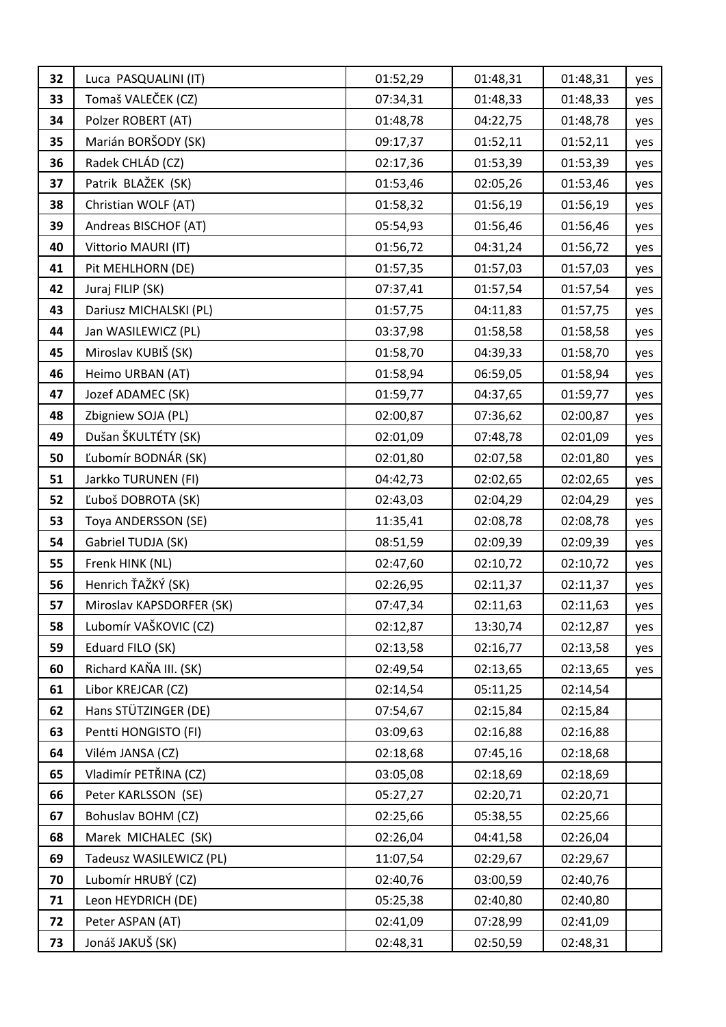| 32 | Luca PASQUALINI (IT)     | 01:52,29 | 01:48,31 | 01:48,31 | yes |
|----|--------------------------|----------|----------|----------|-----|
| 33 | Tomaš VALEČEK (CZ)       | 07:34,31 | 01:48,33 | 01:48,33 | yes |
| 34 | Polzer ROBERT (AT)       | 01:48,78 | 04:22,75 | 01:48,78 | yes |
| 35 | Marián BORŠODY (SK)      | 09:17,37 | 01:52,11 | 01:52,11 | yes |
| 36 | Radek CHLÁD (CZ)         | 02:17,36 | 01:53,39 | 01:53,39 | yes |
| 37 | Patrik BLAŽEK (SK)       | 01:53,46 | 02:05,26 | 01:53,46 | yes |
| 38 | Christian WOLF (AT)      | 01:58,32 | 01:56,19 | 01:56,19 | yes |
| 39 | Andreas BISCHOF (AT)     | 05:54,93 | 01:56,46 | 01:56,46 | yes |
| 40 | Vittorio MAURI (IT)      | 01:56,72 | 04:31,24 | 01:56,72 | yes |
| 41 | Pit MEHLHORN (DE)        | 01:57,35 | 01:57,03 | 01:57,03 | yes |
| 42 | Juraj FILIP (SK)         | 07:37,41 | 01:57,54 | 01:57,54 | yes |
| 43 | Dariusz MICHALSKI (PL)   | 01:57,75 | 04:11,83 | 01:57,75 | yes |
| 44 | Jan WASILEWICZ (PL)      | 03:37,98 | 01:58,58 | 01:58,58 | yes |
| 45 | Miroslav KUBIŠ (SK)      | 01:58,70 | 04:39,33 | 01:58,70 | yes |
| 46 | Heimo URBAN (AT)         | 01:58,94 | 06:59,05 | 01:58,94 | yes |
| 47 | Jozef ADAMEC (SK)        | 01:59,77 | 04:37,65 | 01:59,77 | yes |
| 48 | Zbigniew SOJA (PL)       | 02:00,87 | 07:36,62 | 02:00,87 | yes |
| 49 | Dušan ŠKULTÉTY (SK)      | 02:01,09 | 07:48,78 | 02:01,09 | yes |
| 50 | Ľubomír BODNÁR (SK)      | 02:01,80 | 02:07,58 | 02:01,80 | yes |
| 51 | Jarkko TURUNEN (FI)      | 04:42,73 | 02:02,65 | 02:02,65 | yes |
| 52 | Ľuboš DOBROTA (SK)       | 02:43,03 | 02:04,29 | 02:04,29 | yes |
| 53 | Toya ANDERSSON (SE)      | 11:35,41 | 02:08,78 | 02:08,78 | yes |
| 54 | Gabriel TUDJA (SK)       | 08:51,59 | 02:09,39 | 02:09,39 | yes |
| 55 | Frenk HINK (NL)          | 02:47,60 | 02:10,72 | 02:10,72 | yes |
| 56 | Henrich ŤAŽKÝ (SK)       | 02:26,95 | 02:11,37 | 02:11,37 | yes |
| 57 | Miroslav KAPSDORFER (SK) | 07:47,34 | 02:11,63 | 02:11,63 | yes |
| 58 | Lubomír VAŠKOVIC (CZ)    | 02:12,87 | 13:30,74 | 02:12,87 | yes |
| 59 | Eduard FILO (SK)         | 02:13,58 | 02:16,77 | 02:13,58 | yes |
| 60 | Richard KAŇA III. (SK)   | 02:49,54 | 02:13,65 | 02:13,65 | yes |
| 61 | Libor KREJCAR (CZ)       | 02:14,54 | 05:11,25 | 02:14,54 |     |
| 62 | Hans STÜTZINGER (DE)     | 07:54,67 | 02:15,84 | 02:15,84 |     |
| 63 | Pentti HONGISTO (FI)     | 03:09,63 | 02:16,88 | 02:16,88 |     |
| 64 | Vilém JANSA (CZ)         | 02:18,68 | 07:45,16 | 02:18,68 |     |
| 65 | Vladimír PETŘINA (CZ)    | 03:05,08 | 02:18,69 | 02:18,69 |     |
| 66 | Peter KARLSSON (SE)      | 05:27,27 | 02:20,71 | 02:20,71 |     |
| 67 | Bohuslav BOHM (CZ)       | 02:25,66 | 05:38,55 | 02:25,66 |     |
| 68 | Marek MICHALEC (SK)      | 02:26,04 | 04:41,58 | 02:26,04 |     |
| 69 | Tadeusz WASILEWICZ (PL)  | 11:07,54 | 02:29,67 | 02:29,67 |     |
| 70 | Lubomír HRUBÝ (CZ)       | 02:40,76 | 03:00,59 | 02:40,76 |     |
| 71 | Leon HEYDRICH (DE)       | 05:25,38 | 02:40,80 | 02:40,80 |     |
| 72 | Peter ASPAN (AT)         | 02:41,09 | 07:28,99 | 02:41,09 |     |
| 73 | Jonáš JAKUŠ (SK)         | 02:48,31 | 02:50,59 | 02:48,31 |     |